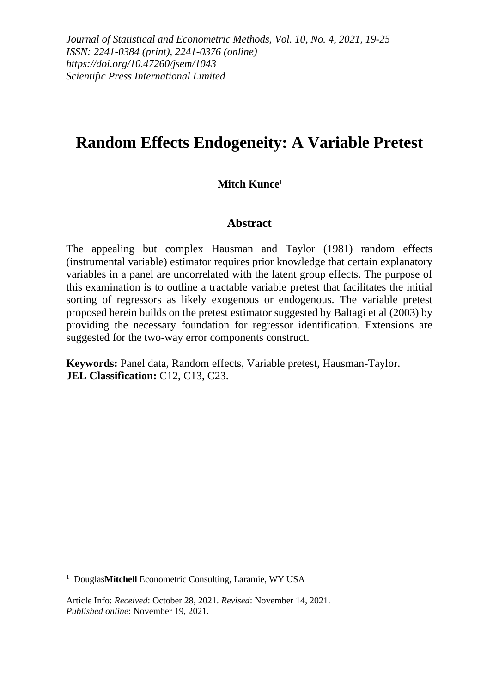*Journal of Statistical and Econometric Methods, Vol. 10, No. 4, 2021, 19-25 ISSN: 2241-0384 (print), 2241-0376 (online) https://doi.org/10.47260/jsem/1043 Scientific Press International Limited*

# **Random Effects Endogeneity: A Variable Pretest**

### **Mitch Kunce**<sup>1</sup>

### **Abstract**

The appealing but complex Hausman and Taylor (1981) random effects (instrumental variable) estimator requires prior knowledge that certain explanatory variables in a panel are uncorrelated with the latent group effects. The purpose of this examination is to outline a tractable variable pretest that facilitates the initial sorting of regressors as likely exogenous or endogenous. The variable pretest proposed herein builds on the pretest estimator suggested by Baltagi et al (2003) by providing the necessary foundation for regressor identification. Extensions are suggested for the two-way error components construct.

**Keywords:** Panel data, Random effects, Variable pretest, Hausman-Taylor. **JEL Classification: C12, C13, C23.** 

<sup>1</sup> Douglas**Mitchell** Econometric Consulting, Laramie, WY USA

Article Info: *Received*: October 28, 2021. *Revised*: November 14, 2021. *Published online*: November 19, 2021.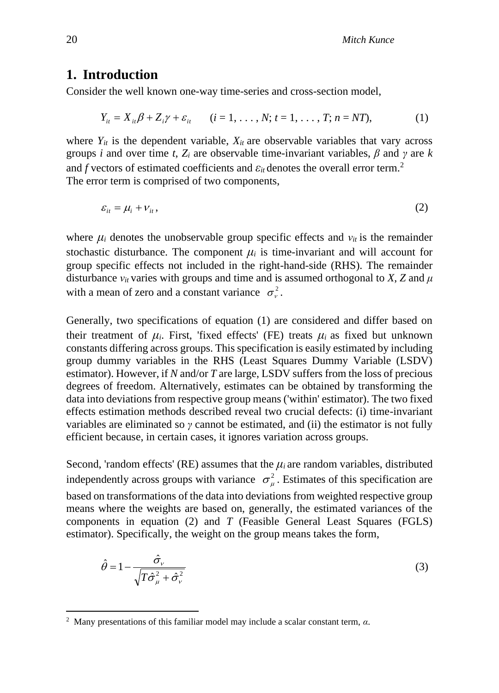### **1. Introduction**

Consider the well known one-way time-series and cross-section model,

$$
Y_{it} = X_{it} \beta + Z_i \gamma + \varepsilon_{it} \qquad (i = 1, ..., N; t = 1, ..., T; n = NT),
$$
 (1)

where  $Y_{it}$  is the dependent variable,  $X_{it}$  are observable variables that vary across groups *i* and over time *t*,  $Z_i$  are observable time-invariant variables,  $\beta$  and  $\gamma$  are  $k$ and *f* vectors of estimated coefficients and  $\varepsilon_{it}$  denotes the overall error term.<sup>2</sup> The error term is comprised of two components,

$$
\varepsilon_{it} = \mu_i + \nu_{it},\tag{2}
$$

where  $\mu_i$  denotes the unobservable group specific effects and  $\nu_{it}$  is the remainder stochastic disturbance. The component  $\mu_i$  is time-invariant and will account for group specific effects not included in the right-hand-side (RHS). The remainder disturbance  $v_{it}$  varies with groups and time and is assumed orthogonal to *X*, *Z* and  $\mu$ with a mean of zero and a constant variance  $\sigma_{\nu}^2$ .

Generally, two specifications of equation (1) are considered and differ based on their treatment of  $\mu_i$ . First, 'fixed effects' (FE) treats  $\mu_i$  as fixed but unknown constants differing across groups. This specification is easily estimated by including group dummy variables in the RHS (Least Squares Dummy Variable (LSDV) estimator). However, if *N* and/or *T* are large, LSDV suffers from the loss of precious degrees of freedom. Alternatively, estimates can be obtained by transforming the data into deviations from respective group means ('within' estimator). The two fixed effects estimation methods described reveal two crucial defects: (i) time-invariant variables are eliminated so *γ* cannot be estimated, and (ii) the estimator is not fully efficient because, in certain cases, it ignores variation across groups.

Second, 'random effects' (RE) assumes that the  $\mu_i$  are random variables, distributed independently across groups with variance  $\sigma_{\mu}^{2}$ . Estimates of this specification are based on transformations of the data into deviations from weighted respective group means where the weights are based on, generally, the estimated variances of the components in equation (2) and *T* (Feasible General Least Squares (FGLS) estimator). Specifically, the weight on the group means takes the form,

$$
\hat{\theta} = 1 - \frac{\hat{\sigma}_{\nu}}{\sqrt{T \hat{\sigma}_{\mu}^2 + \hat{\sigma}_{\nu}^2}}
$$
\n(3)

<sup>2</sup> Many presentations of this familiar model may include a scalar constant term, *α*.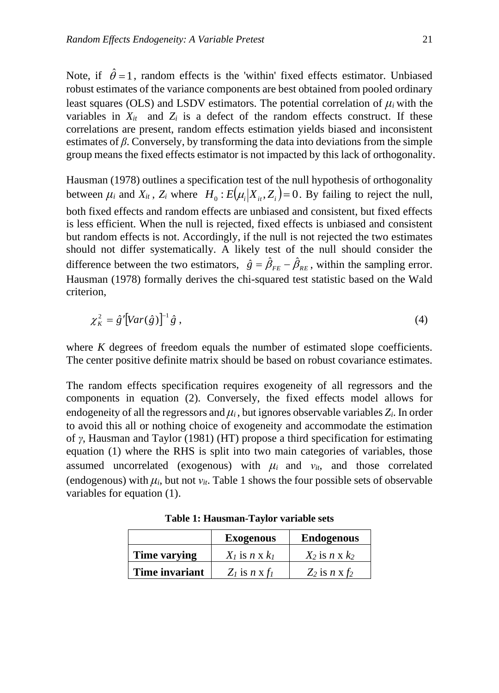Note, if  $\hat{\theta} = 1$ , random effects is the 'within' fixed effects estimator. Unbiased robust estimates of the variance components are best obtained from pooled ordinary least squares (OLS) and LSDV estimators. The potential correlation of *μ<sup>i</sup>* with the variables in  $X_{it}$  and  $Z_i$  is a defect of the random effects construct. If these correlations are present, random effects estimation yields biased and inconsistent estimates of  $\beta$ . Conversely, by transforming the data into deviations from the simple group means the fixed effects estimator is not impacted by this lack of orthogonality.

Hausman (1978) outlines a specification test of the null hypothesis of orthogonality between  $\mu_i$  and  $X_{it}$ ,  $Z_i$  where  $H_0: E(\mu_i | X_{it}, Z_i) = 0$ . By failing to reject the null, both fixed effects and random effects are unbiased and consistent, but fixed effects is less efficient. When the null is rejected, fixed effects is unbiased and consistent but random effects is not. Accordingly, if the null is not rejected the two estimates should not differ systematically. A likely test of the null should consider the difference between the two estimators,  $\hat{g} = \hat{\beta}_{FE} - \hat{\beta}_{RE}$ , within the sampling error. Hausman (1978) formally derives the chi-squared test statistic based on the Wald criterion,

$$
\chi_K^2 = \hat{g}' \left[ Var(\hat{g}) \right]^{-1} \hat{g} \tag{4}
$$

where *K* degrees of freedom equals the number of estimated slope coefficients. The center positive definite matrix should be based on robust covariance estimates.

The random effects specification requires exogeneity of all regressors and the components in equation (2). Conversely, the fixed effects model allows for endogeneity of all the regressors and  $\mu_i$ , but ignores observable variables  $Z_i$ . In order to avoid this all or nothing choice of exogeneity and accommodate the estimation of *γ*, Hausman and Taylor (1981) (HT) propose a third specification for estimating equation (1) where the RHS is split into two main categories of variables, those assumed uncorrelated (exogenous) with  $\mu_i$  and  $v_{it}$ , and those correlated (endogenous) with  $\mu_i$ , but not  $v_i$ . Table 1 shows the four possible sets of observable variables for equation (1).

|                | <b>Exogenous</b>        | <b>Endogenous</b>  |
|----------------|-------------------------|--------------------|
| Time varying   | $X_l$ is n x $k_l$      | $X_2$ is n x $k_2$ |
| Time invariant | $Z_l$ is $n \times f_l$ | $Z_2$ is n x $f_2$ |

**Table 1: Hausman-Taylor variable sets**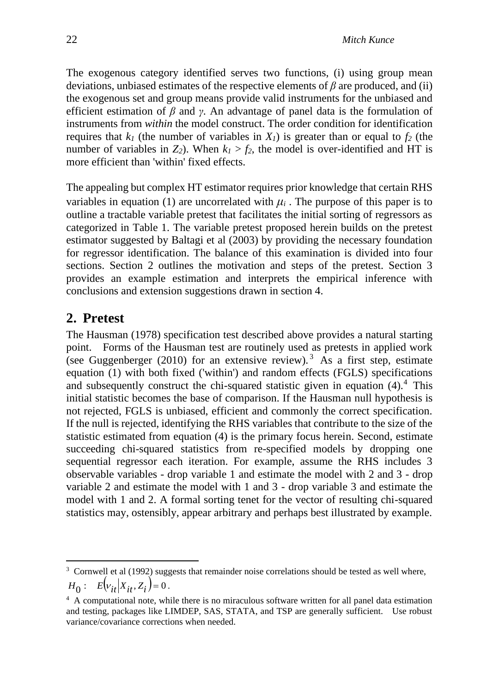The exogenous category identified serves two functions, (i) using group mean deviations, unbiased estimates of the respective elements of *β* are produced, and (ii) the exogenous set and group means provide valid instruments for the unbiased and efficient estimation of *β* and *γ*. An advantage of panel data is the formulation of instruments from *within* the model construct. The order condition for identification requires that  $k_l$  (the number of variables in  $X_l$ ) is greater than or equal to  $f_2$  (the number of variables in  $Z_2$ ). When  $k_1 > f_2$ , the model is over-identified and HT is more efficient than 'within' fixed effects.

The appealing but complex HT estimator requires prior knowledge that certain RHS variables in equation (1) are uncorrelated with  $\mu_i$ . The purpose of this paper is to outline a tractable variable pretest that facilitates the initial sorting of regressors as categorized in Table 1. The variable pretest proposed herein builds on the pretest estimator suggested by Baltagi et al (2003) by providing the necessary foundation for regressor identification. The balance of this examination is divided into four sections. Section 2 outlines the motivation and steps of the pretest. Section 3 provides an example estimation and interprets the empirical inference with conclusions and extension suggestions drawn in section 4.

# **2. Pretest**

The Hausman (1978) specification test described above provides a natural starting point. Forms of the Hausman test are routinely used as pretests in applied work (see Guggenberger (2010) for an extensive review).<sup>3</sup> As a first step, estimate equation (1) with both fixed ('within') and random effects (FGLS) specifications and subsequently construct the chi-squared statistic given in equation  $(4)$ .<sup>4</sup> This initial statistic becomes the base of comparison. If the Hausman null hypothesis is not rejected, FGLS is unbiased, efficient and commonly the correct specification. If the null is rejected, identifying the RHS variables that contribute to the size of the statistic estimated from equation (4) is the primary focus herein. Second, estimate succeeding chi-squared statistics from re-specified models by dropping one sequential regressor each iteration. For example, assume the RHS includes 3 observable variables - drop variable 1 and estimate the model with 2 and 3 - drop variable 2 and estimate the model with 1 and 3 - drop variable 3 and estimate the model with 1 and 2. A formal sorting tenet for the vector of resulting chi-squared statistics may, ostensibly, appear arbitrary and perhaps best illustrated by example.

 $3$  Cornwell et al (1992) suggests that remainder noise correlations should be tested as well where,  $H_0: E\left[v_{it} | X_{it}, Z_i\right] = 0.$ 

<sup>&</sup>lt;sup>4</sup> A computational note, while there is no miraculous software written for all panel data estimation and testing, packages like LIMDEP, SAS, STATA, and TSP are generally sufficient. Use robust variance/covariance corrections when needed.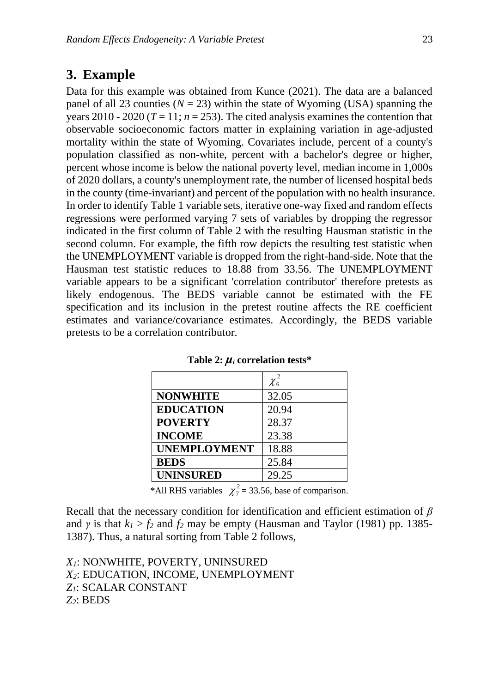## **3. Example**

Data for this example was obtained from Kunce (2021). The data are a balanced panel of all 23 counties ( $N = 23$ ) within the state of Wyoming (USA) spanning the years 2010 - 2020 ( $T = 11$ ;  $n = 253$ ). The cited analysis examines the contention that observable socioeconomic factors matter in explaining variation in age-adjusted mortality within the state of Wyoming. Covariates include, percent of a county's population classified as non-white, percent with a bachelor's degree or higher, percent whose income is below the national poverty level, median income in 1,000s of 2020 dollars, a county's unemployment rate, the number of licensed hospital beds in the county (time-invariant) and percent of the population with no health insurance. In order to identify Table 1 variable sets, iterative one-way fixed and random effects regressions were performed varying 7 sets of variables by dropping the regressor indicated in the first column of Table 2 with the resulting Hausman statistic in the second column. For example, the fifth row depicts the resulting test statistic when the UNEMPLOYMENT variable is dropped from the right-hand-side. Note that the Hausman test statistic reduces to 18.88 from 33.56. The UNEMPLOYMENT variable appears to be a significant 'correlation contributor' therefore pretests as likely endogenous. The BEDS variable cannot be estimated with the FE specification and its inclusion in the pretest routine affects the RE coefficient estimates and variance/covariance estimates. Accordingly, the BEDS variable pretests to be a correlation contributor.

|                     | $\chi_6^2$ |
|---------------------|------------|
| <b>NONWHITE</b>     | 32.05      |
| <b>EDUCATION</b>    | 20.94      |
| <b>POVERTY</b>      | 28.37      |
| <b>INCOME</b>       | 23.38      |
| <b>UNEMPLOYMENT</b> | 18.88      |
| <b>BEDS</b>         | 25.84      |
| <b>UNINSURED</b>    | 29.25      |

**Table 2:** *μ<sup>i</sup>* **correlation tests\***

\*All RHS variables  $\chi^2 = 33.56$ , base of comparison.

Recall that the necessary condition for identification and efficient estimation of *β* and *γ* is that  $k_1 > f_2$  and  $f_2$  may be empty (Hausman and Taylor (1981) pp. 1385-1387). Thus, a natural sorting from Table 2 follows,

*X1*: NONWHITE, POVERTY, UNINSURED *X2*: EDUCATION, INCOME, UNEMPLOYMENT *Z1*: SCALAR CONSTANT *Z2*: BEDS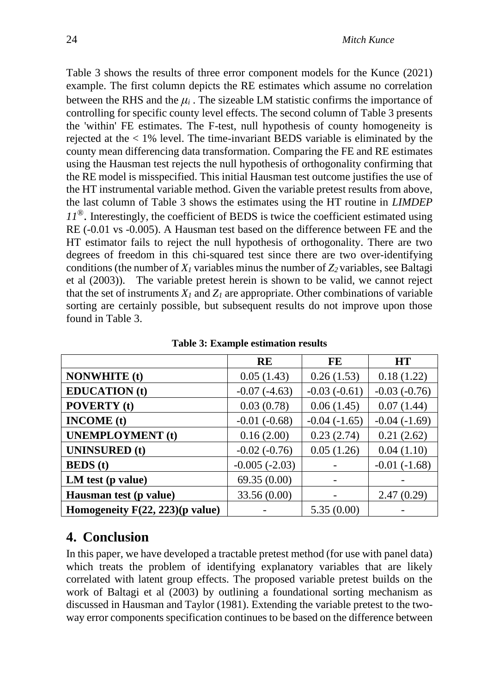Table 3 shows the results of three error component models for the Kunce (2021) example. The first column depicts the RE estimates which assume no correlation between the RHS and the  $\mu_i$ . The sizeable LM statistic confirms the importance of controlling for specific county level effects. The second column of Table 3 presents the 'within' FE estimates. The F-test, null hypothesis of county homogeneity is rejected at the < 1% level. The time-invariant BEDS variable is eliminated by the county mean differencing data transformation. Comparing the FE and RE estimates using the Hausman test rejects the null hypothesis of orthogonality confirming that the RE model is misspecified. This initial Hausman test outcome justifies the use of the HT instrumental variable method. Given the variable pretest results from above, the last column of Table 3 shows the estimates using the HT routine in *LIMDEP 11*®. Interestingly, the coefficient of BEDS is twice the coefficient estimated using RE (-0.01 vs -0.005). A Hausman test based on the difference between FE and the HT estimator fails to reject the null hypothesis of orthogonality. There are two degrees of freedom in this chi-squared test since there are two over-identifying conditions (the number of  $X<sub>I</sub>$  variables minus the number of  $Z<sub>2</sub>$  variables, see Baltagi et al (2003)). The variable pretest herein is shown to be valid, we cannot reject that the set of instruments  $X_I$  and  $Z_I$  are appropriate. Other combinations of variable sorting are certainly possible, but subsequent results do not improve upon those found in Table 3.

|                                    | <b>RE</b>       | FE                | <b>HT</b>      |
|------------------------------------|-----------------|-------------------|----------------|
| <b>NONWHITE</b> (t)                | 0.05(1.43)      | 0.26(1.53)        | 0.18(1.22)     |
| <b>EDUCATION</b> (t)               | $-0.07(-4.63)$  | $-0.03(-0.61)$    | $-0.03(-0.76)$ |
| <b>POVERTY</b> (t)                 | 0.03(0.78)      | 0.06(1.45)        | 0.07(1.44)     |
| <b>INCOME</b> (t)                  | $-0.01(-0.68)$  | $-0.04$ $(-1.65)$ | $-0.04(-1.69)$ |
| <b>UNEMPLOYMENT</b> (t)            | 0.16(2.00)      | 0.23(2.74)        | 0.21(2.62)     |
| <b>UNINSURED</b> (t)               | $-0.02(-0.76)$  | 0.05(1.26)        | 0.04(1.10)     |
| <b>BEDS</b> (t)                    | $-0.005(-2.03)$ |                   | $-0.01(-1.68)$ |
| LM test (p value)                  | 69.35 (0.00)    |                   |                |
| Hausman test (p value)             | 33.56 (0.00)    |                   | 2.47(0.29)     |
| Homogeneity $F(22, 223)$ (p value) |                 | 5.35(0.00)        |                |

**Table 3: Example estimation results**

## **4. Conclusion**

In this paper, we have developed a tractable pretest method (for use with panel data) which treats the problem of identifying explanatory variables that are likely correlated with latent group effects. The proposed variable pretest builds on the work of Baltagi et al (2003) by outlining a foundational sorting mechanism as discussed in Hausman and Taylor (1981). Extending the variable pretest to the twoway error components specification continues to be based on the difference between